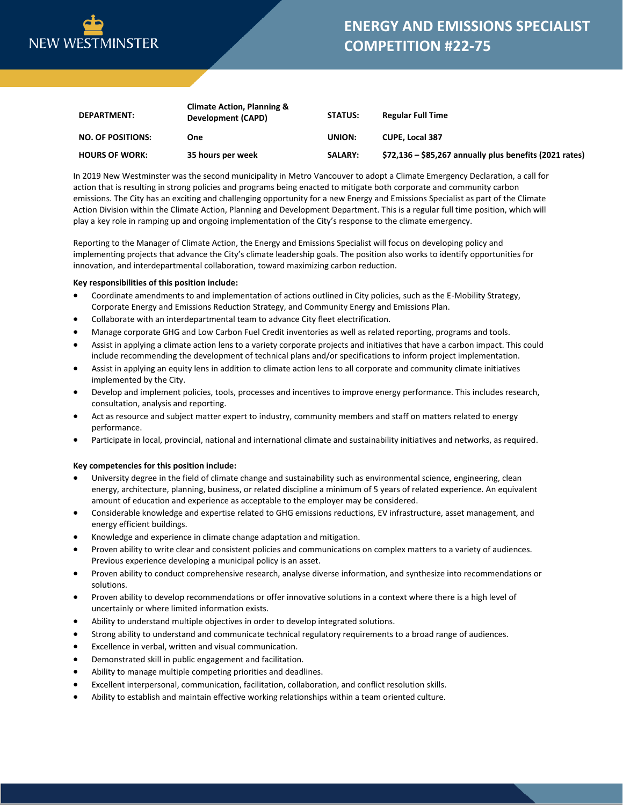

| <b>DEPARTMENT:</b>       | <b>Climate Action, Planning &amp;</b><br>Development (CAPD) | <b>STATUS:</b> | <b>Regular Full Time</b>                                |
|--------------------------|-------------------------------------------------------------|----------------|---------------------------------------------------------|
| <b>NO. OF POSITIONS:</b> | One                                                         | UNION:         | <b>CUPE. Local 387</b>                                  |
| <b>HOURS OF WORK:</b>    | 35 hours per week                                           | <b>SALARY:</b> | $$72,136 - $85,267$ annually plus benefits (2021 rates) |

In 2019 New Westminster was the second municipality in Metro Vancouver to adopt a Climate Emergency Declaration, a call for action that is resulting in strong policies and programs being enacted to mitigate both corporate and community carbon emissions. The City has an exciting and challenging opportunity for a new Energy and Emissions Specialist as part of the Climate Action Division within the Climate Action, Planning and Development Department. This is a regular full time position, which will play a key role in ramping up and ongoing implementation of the City's response to the climate emergency.

Reporting to the Manager of Climate Action, the Energy and Emissions Specialist will focus on developing policy and implementing projects that advance the City's climate leadership goals. The position also works to identify opportunities for innovation, and interdepartmental collaboration, toward maximizing carbon reduction.

## **Key responsibilities of this position include:**

- Coordinate amendments to and implementation of actions outlined in City policies, such as the E-Mobility Strategy, Corporate Energy and Emissions Reduction Strategy, and Community Energy and Emissions Plan.
- Collaborate with an interdepartmental team to advance City fleet electrification.
- Manage corporate GHG and Low Carbon Fuel Credit inventories as well as related reporting, programs and tools.
- Assist in applying a climate action lens to a variety corporate projects and initiatives that have a carbon impact. This could include recommending the development of technical plans and/or specifications to inform project implementation.
- Assist in applying an equity lens in addition to climate action lens to all corporate and community climate initiatives implemented by the City.
- Develop and implement policies, tools, processes and incentives to improve energy performance. This includes research, consultation, analysis and reporting.
- Act as resource and subject matter expert to industry, community members and staff on matters related to energy performance.
- Participate in local, provincial, national and international climate and sustainability initiatives and networks, as required.

## **Key competencies for this position include:**

- University degree in the field of climate change and sustainability such as environmental science, engineering, clean energy, architecture, planning, business, or related discipline a minimum of 5 years of related experience. An equivalent amount of education and experience as acceptable to the employer may be considered.
- Considerable knowledge and expertise related to GHG emissions reductions, EV infrastructure, asset management, and energy efficient buildings.
- Knowledge and experience in climate change adaptation and mitigation.
- Proven ability to write clear and consistent policies and communications on complex matters to a variety of audiences. Previous experience developing a municipal policy is an asset.
- Proven ability to conduct comprehensive research, analyse diverse information, and synthesize into recommendations or solutions.
- Proven ability to develop recommendations or offer innovative solutions in a context where there is a high level of uncertainly or where limited information exists.
- Ability to understand multiple objectives in order to develop integrated solutions.
- Strong ability to understand and communicate technical regulatory requirements to a broad range of audiences.
- Excellence in verbal, written and visual communication.
- Demonstrated skill in public engagement and facilitation.
- Ability to manage multiple competing priorities and deadlines.
- Excellent interpersonal, communication, facilitation, collaboration, and conflict resolution skills.
- Ability to establish and maintain effective working relationships within a team oriented culture.